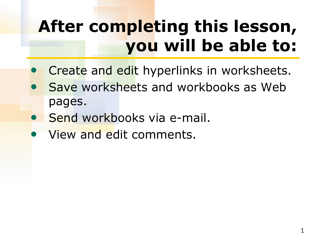## **After completing this lesson, you will be able to:**

- Create and edit hyperlinks in worksheets.
- Save worksheets and workbooks as Web pages.
- Send workbooks via e-mail.
- View and edit comments.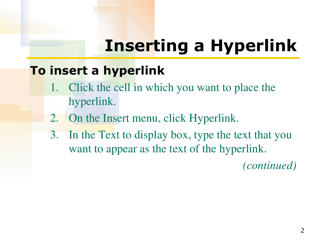## **Inserting a Hyperlink**

### **To insert a hyperlink**

- 1. Click the cell in which you want to place the hyperlink.
- 2. On the Insert menu, click Hyperlink.
- 3. In the Text to display box, type the text that you want to appear as the text of the hyperlink.

*(continued)*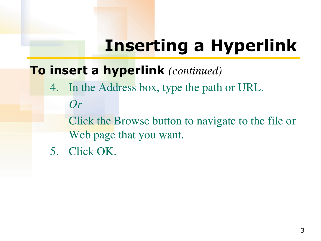## **Inserting a Hyperlink**

### **To insert a hyperlink** *(continued)*

4. In the Address box, type the path or URL.

*Or*

 Click the Browse button to navigate to the file or Web page that you want.

5. Click OK.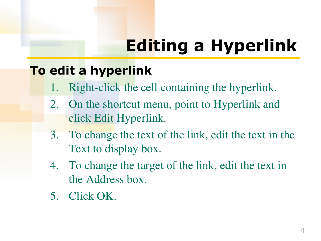# **Editing a Hyperlink**

### **To edit a hyperlink**

- Right-click the cell containing the hyperlink.
- 2. On the shortcut menu, point to Hyperlink and click Edit Hyperlink.
- 3. To change the text of the link, edit the text in the Text to display box.
- 4. To change the target of the link, edit the text in the Address box.
- 5. Click OK.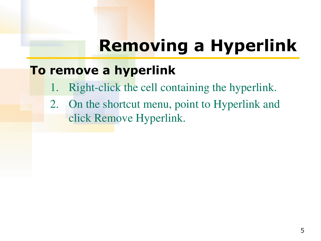### **Removing a Hyperlink**

### **To remove a hyperlink**

- 1. Right-click the cell containing the hyperlink.
- 2. On the shortcut menu, point to Hyperlink and click Remove Hyperlink.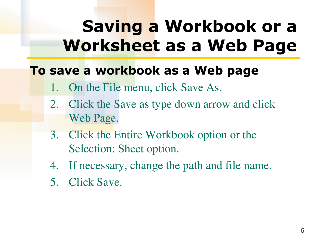### **Saving a Workbook or a Worksheet as a Web Page**

### **To save a workbook as a Web page**

- 1. On the File menu, click Save As.
- 2. Click the Save as type down arrow and click Web Page.
- 3. Click the Entire Workbook option or the Selection: Sheet option.
- 4. If necessary, change the path and file name.
- 5. Click Save.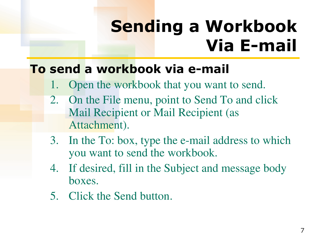## **Sending a Workbook Via E-mail**

#### **To send a workbook via e-mail**

- 1. Open the workbook that you want to send.
- 2. On the File menu, point to Send To and click Mail Recipient or Mail Recipient (as Attachment).
- 3. In the To: box, type the e-mail address to which you want to send the workbook.
- 4. If desired, fill in the Subject and message body boxes.
- 5. Click the Send button.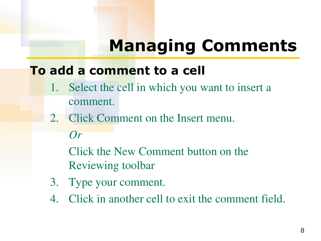### **Managing Comments**

#### **To add a comment to a cell**

- 1. Select the cell in which you want to insert a comment.
- 2. Click Comment on the Insert menu. *Or*

Click the New Comment button on the Reviewing toolbar

- 3. Type your comment.
- 4. Click in another cell to exit the comment field.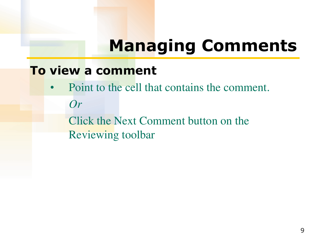### **Managing Comments**

#### **To view a comment**

• Point to the cell that contains the comment. *Or*

 Click the Next Comment button on the Reviewing toolbar